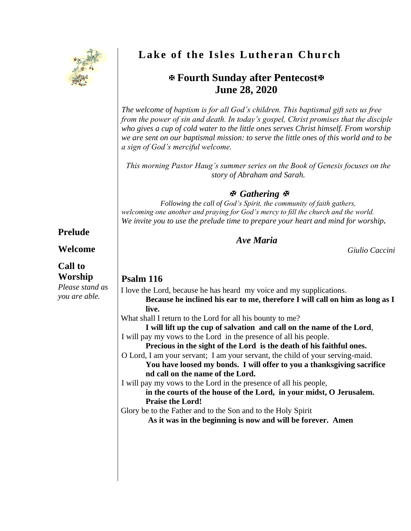

# Lake of the Isles Lutheran Church

# **Fourth Sunday after Pentecost June 28, 2020**

*The welcome of baptism is for all God's children. This baptismal gift sets us free from the power of sin and death. In today's gospel, Christ promises that the disciple who gives a cup of cold water to the little ones serves Christ himself. From worship we are sent on our baptismal mission: to serve the little ones of this world and to be a sign of God's merciful welcome.*

*This morning Pastor Haug's summer series on the Book of Genesis focuses on the story of Abraham and Sarah.*

## *Gathering*

*Following the call of God's Spirit, the community of faith gathers, welcoming one another and praying for God's mercy to fill the church and the world. We invite you to use the prelude time to prepare your heart and mind for worship.*

#### *Ave Maria*

*Giulio Caccini*

# **Psalm 116**

I love the Lord, because he has heard my voice and my supplications. **Because he inclined his ear to me, therefore I will call on him as long as I live.**  What shall I return to the Lord for all his bounty to me? **I will lift up the cup of salvation and call on the name of the Lord**, I will pay my vows to the Lord in the presence of all his people. **Precious in the sight of the Lord is the death of his faithful ones.**  O Lord, I am your servant; I am your servant, the child of your serving-maid. **You have loosed my bonds. I will offer to you a thanksgiving sacrifice nd call on the name of the Lord.**  I will pay my vows to the Lord in the presence of all his people, **in the courts of the house of the Lord, in your midst, O Jerusalem. Praise the Lord!** Glory be to the Father and to the Son and to the Holy Spirit **As it was in the beginning is now and will be forever. Amen**

**Prelude**

### **Welcome**

**Call to Worship** *Please stand as you are able.*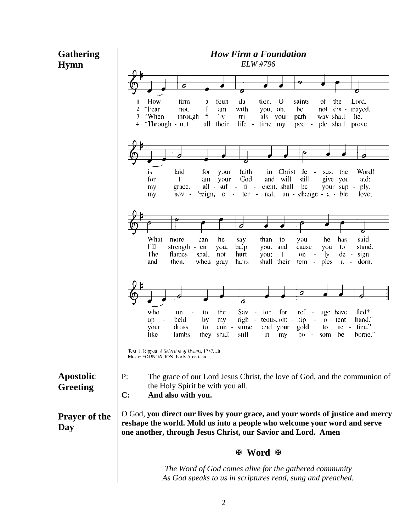| <b>Gathering</b><br><b>Hymn</b>     | <b>How Firm a Foundation</b><br><b>ELW</b> #796                                                                                                                                                                                                                                                                                                                                     |  |  |
|-------------------------------------|-------------------------------------------------------------------------------------------------------------------------------------------------------------------------------------------------------------------------------------------------------------------------------------------------------------------------------------------------------------------------------------|--|--|
|                                     |                                                                                                                                                                                                                                                                                                                                                                                     |  |  |
|                                     | d                                                                                                                                                                                                                                                                                                                                                                                   |  |  |
|                                     | How<br>firm<br>foun - $da$ - tion, O<br>saints<br>the<br>$\sigma$<br>Lord,<br>$\mathbf{a}$<br>"Fear<br>not,<br>$\mathbf{I}$<br>bc<br>am<br>with<br>you, oh,<br>not dis - mayed,<br>$fi - iry$<br>"When<br>tri - als your<br>through<br>path - way shall<br>lic,<br>"Through - out<br>life - time my<br>peo - ple shall prove<br>all their<br>4                                      |  |  |
|                                     | ρ<br>laid                                                                                                                                                                                                                                                                                                                                                                           |  |  |
|                                     | faith<br>in Christ Je - sus, the<br>for<br>Word!<br>is.<br>your<br>for<br>God<br>$\mathbf{I}$<br>and will<br>still<br>give you<br>aid:<br><b>your</b><br>am<br>all - $\text{snf}$ - $\text{fi}$ - cient, shall<br>bc<br>your sup - ply.<br>my<br>grace,<br>$\text{`reign, } c - \text{ter - } nal, \text{ un - change - } a - \text{ble}$<br>love:<br>$SOV -$<br>my                 |  |  |
|                                     | O<br>7<br>What<br>has<br>hc<br>than<br>hc<br>said<br>more<br>can<br>to<br>you<br>say                                                                                                                                                                                                                                                                                                |  |  |
|                                     | $\Gamma \Pi$<br>strength $-$ en<br>help<br>you, and<br>stand,<br>you,<br>cause<br>$\uparrow$<br>you<br>The<br>$de - sign$<br>shall<br>not<br>hurt<br>$\sim$ $-$<br>-ly<br><b>flames</b><br>you;<br>$\mathbf{I}$<br>on<br>hairs<br>shall their<br>and<br>then,<br>when gray<br>tem -<br>ples<br>$a -$ dorn,                                                                          |  |  |
|                                     |                                                                                                                                                                                                                                                                                                                                                                                     |  |  |
|                                     | ref - uge have<br>$Sav - ior for$<br>$f_{\text{ncd}}$<br>who<br>the<br>un<br>ŧо<br>$\sim$<br>righ - teous, om - nip - $\overline{o}$ - tent<br>held<br>by<br>hand."<br>up<br>$\sim$ $\sim$<br>my<br>and your<br>gold<br>$re - fine."$<br>dross<br>tο<br>to<br>$con -$<br>sume<br>your<br>like<br>still<br>they<br>shall<br>in<br>lambs<br>my<br>borne."<br>$b\sigma -$<br>som<br>bc |  |  |
|                                     | Text: J. Rippon, A Selection of Hymns, 1787, alt.<br>Music: FOUNDATION, Early American                                                                                                                                                                                                                                                                                              |  |  |
| <b>Apostolic</b><br><b>Greeting</b> | P:<br>The grace of our Lord Jesus Christ, the love of God, and the communion of<br>the Holy Spirit be with you all.<br>$\mathbf{C}$ :<br>And also with you.                                                                                                                                                                                                                         |  |  |
| <b>Prayer of the</b><br>Day         | O God, you direct our lives by your grace, and your words of justice and mercy<br>reshape the world. Mold us into a people who welcome your word and serve<br>one another, through Jesus Christ, our Savior and Lord. Amen<br><b>E</b> Word <b>E</b>                                                                                                                                |  |  |
|                                     |                                                                                                                                                                                                                                                                                                                                                                                     |  |  |
|                                     | The Word of God comes alive for the gathered community<br>As God speaks to us in scriptures read, sung and preached.                                                                                                                                                                                                                                                                |  |  |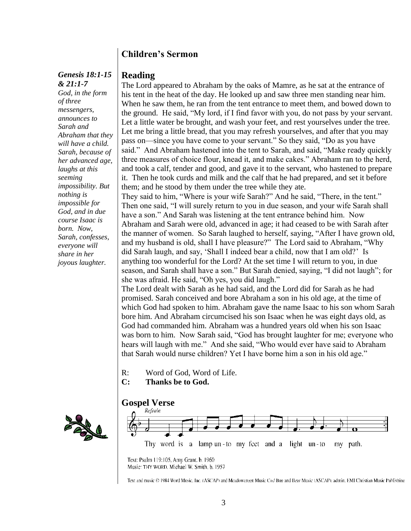## **Children's Sermon**

#### *Genesis 18:1-15 & 21:1-7*

*God, in the form of three messengers, announces to Sarah and Abraham that they will have a child. Sarah, because of her advanced age, laughs at this seeming impossibility. But nothing is impossible for God, and in due course Isaac is born. Now, Sarah, confesses, everyone will share in her joyous laughter.*

#### **Reading**

The Lord appeared to Abraham by the oaks of Mamre, as he sat at the entrance of his tent in the heat of the day. He looked up and saw three men standing near him. When he saw them, he ran from the tent entrance to meet them, and bowed down to the ground. He said, "My lord, if I find favor with you, do not pass by your servant. Let a little water be brought, and wash your feet, and rest yourselves under the tree. Let me bring a little bread, that you may refresh yourselves, and after that you may pass on—since you have come to your servant." So they said, "Do as you have said." And Abraham hastened into the tent to Sarah, and said, "Make ready quickly three measures of choice flour, knead it, and make cakes." Abraham ran to the herd, and took a calf, tender and good, and gave it to the servant, who hastened to prepare it. Then he took curds and milk and the calf that he had prepared, and set it before them; and he stood by them under the tree while they ate.

They said to him, "Where is your wife Sarah?" And he said, "There, in the tent." Then one said, "I will surely return to you in due season, and your wife Sarah shall have a son." And Sarah was listening at the tent entrance behind him. Now Abraham and Sarah were old, advanced in age; it had ceased to be with Sarah after the manner of women. So Sarah laughed to herself, saying, "After I have grown old, and my husband is old, shall I have pleasure?" The Lord said to Abraham, "Why did Sarah laugh, and say, 'Shall I indeed bear a child, now that I am old?' Is anything too wonderful for the Lord? At the set time I will return to you, in due season, and Sarah shall have a son." But Sarah denied, saying, "I did not laugh"; for she was afraid. He said, "Oh yes, you did laugh."

The Lord dealt with Sarah as he had said, and the Lord did for Sarah as he had promised. Sarah conceived and bore Abraham a son in his old age, at the time of which God had spoken to him. Abraham gave the name Isaac to his son whom Sarah bore him. And Abraham circumcised his son Isaac when he was eight days old, as God had commanded him. Abraham was a hundred years old when his son Isaac was born to him. Now Sarah said, "God has brought laughter for me; everyone who hears will laugh with me." And she said, "Who would ever have said to Abraham that Sarah would nurse children? Yet I have borne him a son in his old age."

- R: Word of God, Word of Life.
- **C: Thanks be to God.**



Text: Psalm 119:105, Amy Grant. b. 1960 Music: THY WORD, Michael W. Smith, b. 1957

Text and music © 1984 Word Music, Inc. (ASCAP) and Meadowereen Music Co./ Bue and Bear Music (ASCAP), admin. EMI Christian Music Publishine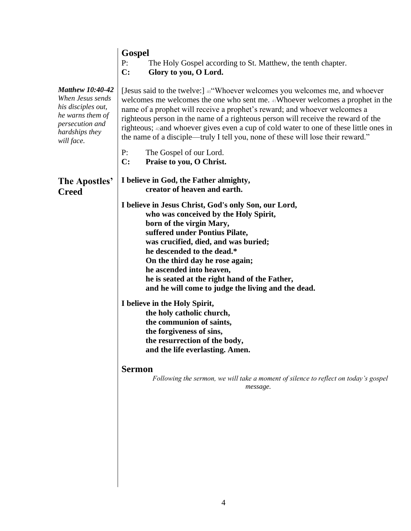| <b>Matthew 10:40-42</b><br>When Jesus sends<br>his disciples out,   | <b>Gospel</b><br>P:<br>The Holy Gospel according to St. Matthew, the tenth chapter.<br>C:<br>Glory to you, O Lord.<br>[Jesus said to the twelve:] 40 "Whoever welcomes you welcomes me, and whoever<br>welcomes me welcomes the one who sent me. 41Whoever welcomes a prophet in the                                                                                                                                                                                                                                                                                                              |  |  |
|---------------------------------------------------------------------|---------------------------------------------------------------------------------------------------------------------------------------------------------------------------------------------------------------------------------------------------------------------------------------------------------------------------------------------------------------------------------------------------------------------------------------------------------------------------------------------------------------------------------------------------------------------------------------------------|--|--|
| he warns them of<br>persecution and<br>hardships they<br>will face. | name of a prophet will receive a prophet's reward; and whoever welcomes a<br>righteous person in the name of a righteous person will receive the reward of the<br>righteous; 42 and whoever gives even a cup of cold water to one of these little ones in<br>the name of a disciple—truly I tell you, none of these will lose their reward."                                                                                                                                                                                                                                                      |  |  |
|                                                                     | P:<br>The Gospel of our Lord.<br>C:<br>Praise to you, O Christ.                                                                                                                                                                                                                                                                                                                                                                                                                                                                                                                                   |  |  |
| The Apostles'<br><b>Creed</b>                                       | I believe in God, the Father almighty,<br>creator of heaven and earth.                                                                                                                                                                                                                                                                                                                                                                                                                                                                                                                            |  |  |
|                                                                     | I believe in Jesus Christ, God's only Son, our Lord,<br>who was conceived by the Holy Spirit,<br>born of the virgin Mary,<br>suffered under Pontius Pilate,<br>was crucified, died, and was buried;<br>he descended to the dead.*<br>On the third day he rose again;<br>he ascended into heaven,<br>he is seated at the right hand of the Father,<br>and he will come to judge the living and the dead.<br>I believe in the Holy Spirit,<br>the holy catholic church,<br>the communion of saints,<br>the forgiveness of sins,<br>the resurrection of the body.<br>and the life everlasting. Amen. |  |  |
|                                                                     | <b>Sermon</b><br>Following the sermon, we will take a moment of silence to reflect on today's gospel<br>message.                                                                                                                                                                                                                                                                                                                                                                                                                                                                                  |  |  |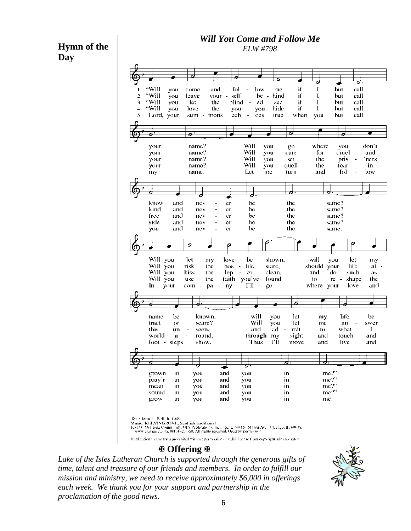# **Hymn of the Day**

# *Will You Come and Follow Me*

*ELW #798* 



**Offering \Memorify \Memorify**<br>h is supported thro<br>iends and member.<br>receive approxima<br>ir support and part<br>6 Lake of the Isles Lutheran Church is supported through the generous gifts of *time, talent and treasure of our friends and members. In order to fulfill our mission and ministry, we need to receive approximately \$6,000 in offerings each week. We thank you for your support and partnership in the proclamation of the good news.* 

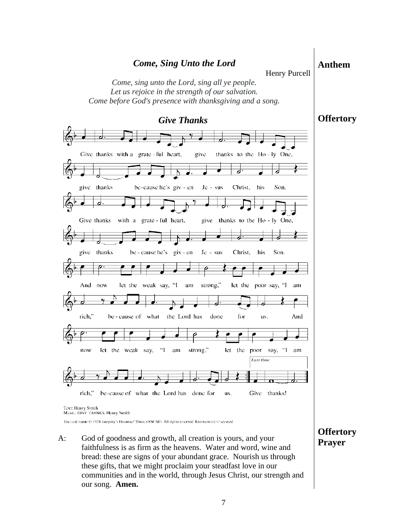

#### *Come, Sing Unto the Lord*

#### **Anthem**

our song. **Amen.**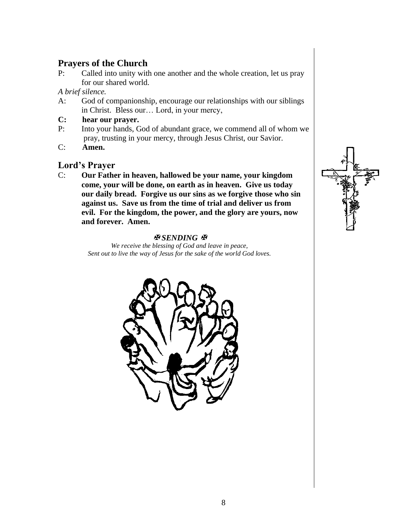## **Prayers of the Church**

P: Called into unity with one another and the whole creation, let us pray for our shared world.

*A brief silence.*

- A: God of companionship, encourage our relationships with our siblings in Christ. Bless our… Lord, in your mercy,
- **C: hear our prayer.**
- P: Into your hands, God of abundant grace, we commend all of whom we pray, trusting in your mercy, through Jesus Christ, our Savior.
- C: **Amen.**

### **Lord's Prayer**

C: **Our Father in heaven, hallowed be your name, your kingdom come, your will be done, on earth as in heaven. Give us today our daily bread. Forgive us our sins as we forgive those who sin against us. Save us from the time of trial and deliver us from evil. For the kingdom, the power, and the glory are yours, now and forever. Amen.**

#### **图SENDING** 图

*We receive the blessing of God and leave in peace, Sent out to live the way of Jesus for the sake of the world God loves.*



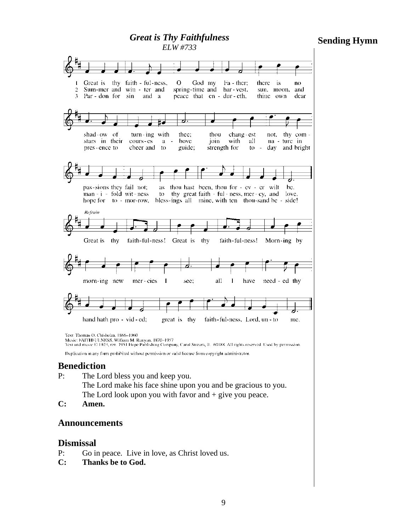#### *Great is Thy Faithfulness ELW #733*

**Sending Hymn** 



## **Benediction**

- P: The Lord bless you and keep you. The Lord make his face shine upon you and be gracious to you. The Lord look upon you with favor and  $+$  give you peace.
- **C: Amen.**

#### **Announcements**

#### **Dismissal**

- P: Go in peace. Live in love, as Christ loved us.
- **C: Thanks be to God.**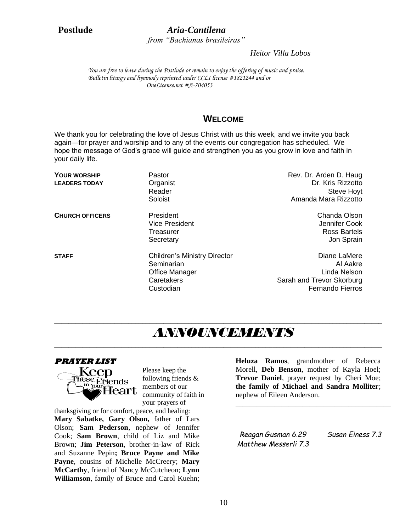# **Postlude** *Aria-Cantilena*

*from "Bachianas brasileiras"*

*Heitor Villa Lobos*

*You are free to leave during the Postlude or remain to enjoy the offering of music and praise. Bulletin liturgy and hymnody reprinted under CCLI license #1821244 and or OneLicense.net #A-704053*

#### **WELCOME**

We thank you for celebrating the love of Jesus Christ with us this week, and we invite you back again—for prayer and worship and to any of the events our congregation has scheduled. We hope the message of God's grace will guide and strengthen you as you grow in love and faith in your daily life.

| YOUR WORSHIP           | Pastor                              | Rev. Dr. Arden D. Haug    |
|------------------------|-------------------------------------|---------------------------|
| <b>LEADERS TODAY</b>   | Organist                            | Dr. Kris Rizzotto         |
|                        | Reader                              | Steve Hoyt                |
|                        | Soloist                             | Amanda Mara Rizzotto      |
| <b>CHURCH OFFICERS</b> | President                           | Chanda Olson              |
|                        | <b>Vice President</b>               | Jennifer Cook             |
|                        | Treasurer                           | <b>Ross Bartels</b>       |
|                        | Secretary                           | Jon Sprain                |
| <b>STAFF</b>           | <b>Children's Ministry Director</b> | Diane LaMere              |
|                        | Seminarian                          | Al Aakre                  |
|                        | Office Manager                      | Linda Nelson              |
|                        | Caretakers                          | Sarah and Trevor Skorburg |
|                        | Custodian                           | <b>Fernando Fierros</b>   |
|                        |                                     |                           |

# *ANNOUNCEMENTS*

\_\_\_\_\_\_\_\_\_\_\_\_\_\_\_\_\_\_\_\_\_\_\_\_\_\_\_\_\_\_\_\_\_\_\_\_\_\_\_\_\_\_\_\_\_\_\_\_\_\_\_\_\_\_\_\_\_\_\_\_\_\_\_\_\_\_\_\_\_\_\_\_\_\_\_\_\_\_\_\_\_\_\_\_\_\_\_\_\_\_\_\_\_

\_\_\_\_\_\_\_\_\_\_\_\_\_\_\_\_\_\_\_\_\_\_\_\_\_\_\_\_\_\_\_\_\_\_\_\_\_\_\_\_\_\_\_\_\_\_\_\_\_\_\_\_\_\_\_\_\_\_\_\_\_\_\_\_\_\_\_\_\_\_\_\_\_\_\_\_\_\_\_\_\_\_\_\_\_\_\_\_\_\_\_\_\_



Please keep the following friends & members of our community of faith in your prayers of

thanksgiving or for comfort, peace, and healing: **Mary Sabatke, Gary Olson,** father of Lars Olson; **Sam Pederson**, nephew of Jennifer Cook; **Sam Brown**, child of Liz and Mike Brown; **Jim Peterson**, brother-in-law of Rick and Suzanne Pepin**; Bruce Payne and Mike Payne**, cousins of Michelle McCreery; **Mary McCarthy**, friend of Nancy McCutcheon; **Lynn Williamson**, family of Bruce and Carol Kuehn;

**Heluza Ramos**, grandmother of Rebecca Morell, **Deb Benson**, mother of Kayla Hoel; **Trevor Daniel**, prayer request by Cheri Moe; **the family of Michael and Sandra Molliter**; nephew of Eileen Anderson.

\_\_\_\_\_\_\_\_\_\_\_\_\_\_\_\_\_\_\_\_\_\_\_\_\_\_\_\_\_\_\_\_\_\_\_\_\_\_\_\_\_\_\_\_

*Reagan Gusman 6.29 Susan Einess 7.3 Matthew Messerli 7.3*